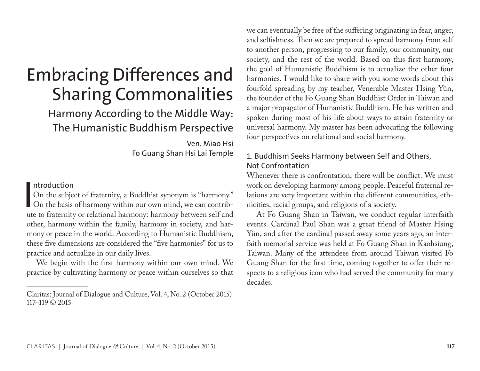# Embracing Differences and Sharing Commonalities

# Harmony According to the Middle Way: The Humanistic Buddhism Perspective

Ven. Miao Hsi Fo Guang Shan Hsi Lai Temple

### ntroduction

 $\mathbf{I}$ On the subject of fraternity, a Buddhist synonym is "harmony." On the basis of harmony within our own mind, we can contribute to fraternity or relational harmony: harmony between self and other, harmony within the family, harmony in society, and harmony or peace in the world. According to Humanistic Buddhism, these five dimensions are considered the "five harmonies" for us to practice and actualize in our daily lives.

We begin with the first harmony within our own mind. We practice by cultivating harmony or peace within ourselves so that we can eventually be free of the suffering originating in fear, anger, and selfishness. Then we are prepared to spread harmony from self to another person, progressing to our family, our community, our society, and the rest of the world. Based on this first harmony, the goal of Humanistic Buddhism is to actualize the other four harmonies. I would like to share with you some words about this fourfold spreading by my teacher, Venerable Master Hsing Yün, the founder of the Fo Guang Shan Buddhist Order in Taiwan and a major propagator of Humanistic Buddhism. He has written and spoken during most of his life about ways to attain fraternity or universal harmony. My master has been advocating the following four perspectives on relational and social harmony.

# 1. Buddhism Seeks Harmony between Self and Others, Not Confrontation

Whenever there is confrontation, there will be conflict. We must work on developing harmony among people. Peaceful fraternal relations are very important within the different communities, ethnicities, racial groups, and religions of a society.

At Fo Guang Shan in Taiwan, we conduct regular interfaith events. Cardinal Paul Shan was a great friend of Master Hsing Yün, and after the cardinal passed away some years ago, an interfaith memorial service was held at Fo Guang Shan in Kaohsiung, Taiwan. Many of the attendees from around Taiwan visited Fo Guang Shan for the first time, coming together to offer their respects to a religious icon who had served the community for many decades.

Claritas: Journal of Dialogue and Culture, Vol. 4, No. 2 (October 2015) 117–119 © 2015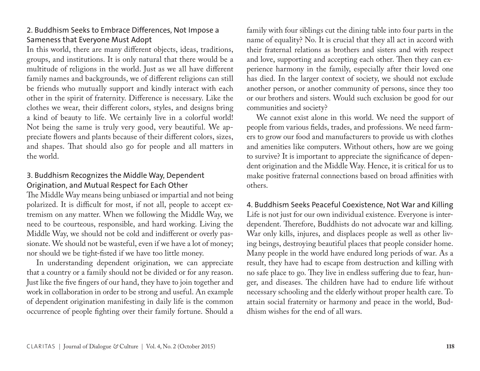# 2. Buddhism Seeks to Embrace Differences, Not Impose a Sameness that Everyone Must Adopt

In this world, there are many different objects, ideas, traditions, groups, and institutions. It is only natural that there would be a multitude of religions in the world. Just as we all have different family names and backgrounds, we of different religions can still be friends who mutually support and kindly interact with each other in the spirit of fraternity. Difference is necessary. Like the clothes we wear, their different colors, styles, and designs bring a kind of beauty to life. We certainly live in a colorful world! Not being the same is truly very good, very beautiful. We appreciate flowers and plants because of their different colors, sizes, and shapes. That should also go for people and all matters in the world.

# 3. Buddhism Recognizes the Middle Way, Dependent Origination, and Mutual Respect for Each Other

The Middle Way means being unbiased or impartial and not being polarized. It is difficult for most, if not all, people to accept extremism on any matter. When we following the Middle Way, we need to be courteous, responsible, and hard working. Living the Middle Way, we should not be cold and indifferent or overly passionate. We should not be wasteful, even if we have a lot of money; nor should we be tight-fisted if we have too little money.

In understanding dependent origination, we can appreciate that a country or a family should not be divided or for any reason. Just like the five fingers of our hand, they have to join together and work in collaboration in order to be strong and useful. An example of dependent origination manifesting in daily life is the common occurrence of people fighting over their family fortune. Should a family with four siblings cut the dining table into four parts in the name of equality? No. It is crucial that they all act in accord with their fraternal relations as brothers and sisters and with respect and love, supporting and accepting each other. Then they can experience harmony in the family, especially after their loved one has died. In the larger context of society, we should not exclude another person, or another community of persons, since they too or our brothers and sisters. Would such exclusion be good for our communities and society?

We cannot exist alone in this world. We need the support of people from various fields, trades, and professions. We need farmers to grow our food and manufacturers to provide us with clothes and amenities like computers. Without others, how are we going to survive? It is important to appreciate the significance of dependent origination and the Middle Way. Hence, it is critical for us to make positive fraternal connections based on broad affinities with others.

4. Buddhism Seeks Peaceful Coexistence, Not War and Killing Life is not just for our own individual existence. Everyone is interdependent. Therefore, Buddhists do not advocate war and killing. War only kills, injures, and displaces people as well as other living beings, destroying beautiful places that people consider home. Many people in the world have endured long periods of war. As a result, they have had to escape from destruction and killing with no safe place to go. They live in endless suffering due to fear, hunger, and diseases. The children have had to endure life without necessary schooling and the elderly without proper health care. To attain social fraternity or harmony and peace in the world, Buddhism wishes for the end of all wars.